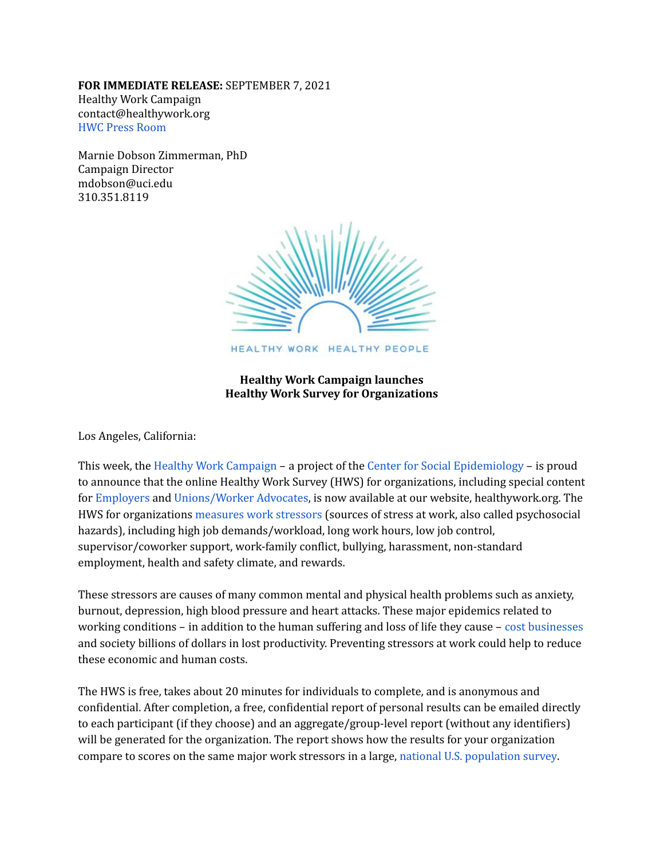## **FOR IMMEDIATE RELEASE:** SEPTEMBER 7, 2021 Healthy Work Campaign [contact@healthywork.org](mailto:contact@healthywork.org) HWC Press [Room](https://healthywork.org/resources/news-and-updates/press-room/)

Marnie Dobson Zimmerman, PhD Campaign Director [mdobson@uci.edu](mailto:mdobson@uci.edu) 310.351.8119



HEALTHY WORK HEALTHY PEOPLE

**Healthy Work Campaign launches Healthy Work Survey for Organizations**

Los Angeles, California:

This week, the Healthy Work [Campaign](https://healthywork.org/) – a project of the Center for Social [Epidemiology](https://unhealthywork.org/) – is proud to announce that the online Healthy Work Survey (HWS) for organizations, including special content for [Employers](https://healthywork.org/employers/healthy-work-survey-employers/) and [Unions/Worker](https://healthywork.org/unions-worker-advocates/healthy-work-survey-unions/) Advocates, is now available at our website, healthywork.org. The HWS for organizations [measures](https://healthywork.org/wp-content/uploads/2021/05/HWS-Content-Overview-v1-051821.pdf) work stressors (sources of stress at work, also called psychosocial hazards), including high job demands/workload, long work hours, low job control, supervisor/coworker support, work-family conflict, bullying, harassment, non-standard employment, health and safety climate, and rewards.

These stressors are causes of many common mental and physical health problems such as anxiety, burnout, depression, high blood pressure and heart attacks. These major epidemics related to working conditions – in addition to the human suffering and loss of life they cause – cost [businesses](https://healthywork.org/resources/statistics-infographs/business-costs/) and society billions of dollars in lost productivity. Preventing stressors at work could help to reduce these economic and human costs.

The HWS is free, takes about 20 minutes for individuals to complete, and is anonymous and confidential. After completion, a free, confidential report of personal results can be emailed directly to each participant (if they choose) and an aggregate/group-level report (without any identifiers) will be generated for the organization. The report shows how the results for your organization compare to scores on the same major work stressors in a large, national U.S. [population](https://www.cdc.gov/niosh/topics/stress/qwlquest.html) survey.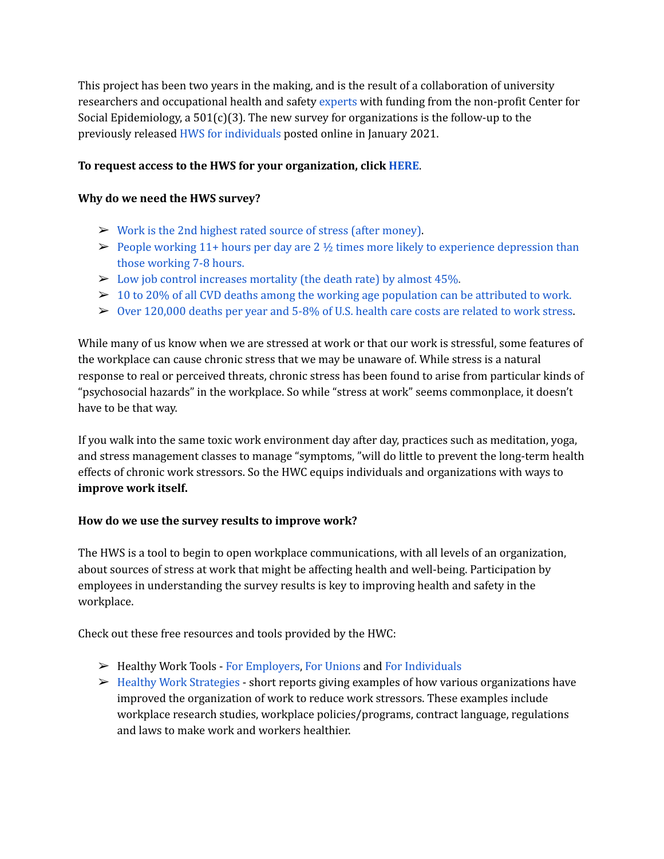This project has been two years in the making, and is the result of a collaboration of university researchers and occupational health and safety [experts](https://healthywork.org/mission/#team) with funding from the non-profit Center for Social Epidemiology, a  $501(c)(3)$ . The new survey for organizations is the follow-up to the previously released HWS for [individuals](https://healthywork.org/healthy-work-survey-individuals/) posted online in January 2021.

## **To request access to the HWS for your organization, click [HERE](https://docs.google.com/forms/d/e/1FAIpQLSdGQrEen-KdBC11MTkGsODN-OgIX1xiQ5EojUDuvfD7Yds-uQ/viewform)**.

## **Why do we need the HWS survey?**

- $\triangleright$  Work is the 2nd highest rated source of stress (after [money\).](https://healthywork.org/wp-content/uploads/2019/09/HWC-Infographics-Stats-to-Know-Top-Physical-Health-v3-Sept-2019-8.5-x-11-300-res.pdf)
- $\triangleright$  People working 11+ hours per day are 2  $\frac{1}{2}$  times more likely to experience [depression](https://healthywork.org/wp-content/uploads/2019/09/HWC-Infographics-Stats-to-Know-Top-Mental-Health-v2-Sept-2019-8.5-x-11-300-res.pdf) than those [working](https://healthywork.org/wp-content/uploads/2019/09/HWC-Infographics-Stats-to-Know-Top-Mental-Health-v2-Sept-2019-8.5-x-11-300-res.pdf) 7-8 hours.
- $\triangleright$  Low job control [increases](https://healthywork.org/resources/statistics-infographs/) mortality (the death rate) by almost 45%.
- $\geq 10$  to 20% of all CVD deaths among the working age [population](https://healthywork.org/resources/statistics-infographs/) can be attributed to work.
- $\triangleright$  Over [120,000](https://healthywork.org/resources/statistics-infographs/) deaths per year and 5-8% of U.S. health care costs are related to work stress.

While many of us know when we are stressed at work or that our work is stressful, some features of the workplace can cause chronic stress that we may be unaware of. While stress is a natural response to real or perceived threats, chronic stress has been found to arise from particular kinds of "psychosocial hazards" in the workplace. So while "stress at work" seems commonplace, it doesn't have to be that way.

If you walk into the same toxic work environment day after day, practices such as meditation, yoga, and stress management classes to manage "symptoms, "will do little to prevent the long-term health effects of chronic work stressors. So the HWC equips individuals and organizations with ways to **improve work itself.**

## **How do we use the survey results to improve work?**

The HWS is a tool to begin to open workplace communications, with all levels of an organization, about sources of stress at work that might be affecting health and well-being. Participation by employees in understanding the survey results is key to improving health and safety in the workplace.

Check out these free resources and tools provided by the HWC:

- ➢ Healthy Work Tools For [Employers,](https://healthywork.org/employers/healthy-work-tools-employers/) For [Unions](https://healthywork.org/unions-worker-advocates/healthy-work-tools-unions/) and For [Individuals](https://healthywork.org/individuals/healthy-work-tools-individuals/)
- $\triangleright$  Healthy Work [Strategies](https://healthywork.org/resources/healthy-work-strategies/) short reports giving examples of how various organizations have improved the organization of work to reduce work stressors. These examples include workplace research studies, workplace policies/programs, contract language, regulations and laws to make work and workers healthier.